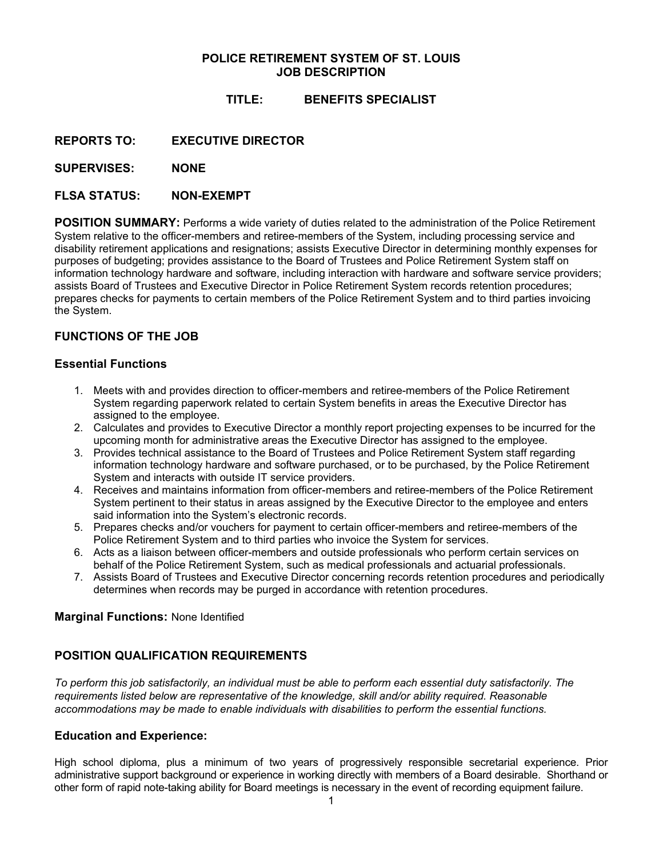# **POLICE RETIREMENT SYSTEM OF ST. LOUIS JOB DESCRIPTION**

# **TITLE: BENEFITS SPECIALIST**

**REPORTS TO: EXECUTIVE DIRECTOR**

**SUPERVISES: NONE** 

# **FLSA STATUS: NON-EXEMPT**

**POSITION SUMMARY:** Performs a wide variety of duties related to the administration of the Police Retirement System relative to the officer-members and retiree-members of the System, including processing service and disability retirement applications and resignations; assists Executive Director in determining monthly expenses for purposes of budgeting; provides assistance to the Board of Trustees and Police Retirement System staff on information technology hardware and software, including interaction with hardware and software service providers; assists Board of Trustees and Executive Director in Police Retirement System records retention procedures; prepares checks for payments to certain members of the Police Retirement System and to third parties invoicing the System.

# **FUNCTIONS OF THE JOB**

# **Essential Functions**

- 1. Meets with and provides direction to officer-members and retiree-members of the Police Retirement System regarding paperwork related to certain System benefits in areas the Executive Director has assigned to the employee.
- 2. Calculates and provides to Executive Director a monthly report projecting expenses to be incurred for the upcoming month for administrative areas the Executive Director has assigned to the employee.
- 3. Provides technical assistance to the Board of Trustees and Police Retirement System staff regarding information technology hardware and software purchased, or to be purchased, by the Police Retirement System and interacts with outside IT service providers.
- 4. Receives and maintains information from officer-members and retiree-members of the Police Retirement System pertinent to their status in areas assigned by the Executive Director to the employee and enters said information into the System's electronic records.
- 5. Prepares checks and/or vouchers for payment to certain officer-members and retiree-members of the Police Retirement System and to third parties who invoice the System for services.
- 6. Acts as a liaison between officer-members and outside professionals who perform certain services on behalf of the Police Retirement System, such as medical professionals and actuarial professionals.
- 7. Assists Board of Trustees and Executive Director concerning records retention procedures and periodically determines when records may be purged in accordance with retention procedures.

#### **Marginal Functions:** None Identified

# **POSITION QUALIFICATION REQUIREMENTS**

*To perform this job satisfactorily, an individual must be able to perform each essential duty satisfactorily. The requirements listed below are representative of the knowledge, skill and/or ability required. Reasonable accommodations may be made to enable individuals with disabilities to perform the essential functions.* 

#### **Education and Experience:**

High school diploma, plus a minimum of two years of progressively responsible secretarial experience. Prior administrative support background or experience in working directly with members of a Board desirable. Shorthand or other form of rapid note-taking ability for Board meetings is necessary in the event of recording equipment failure.